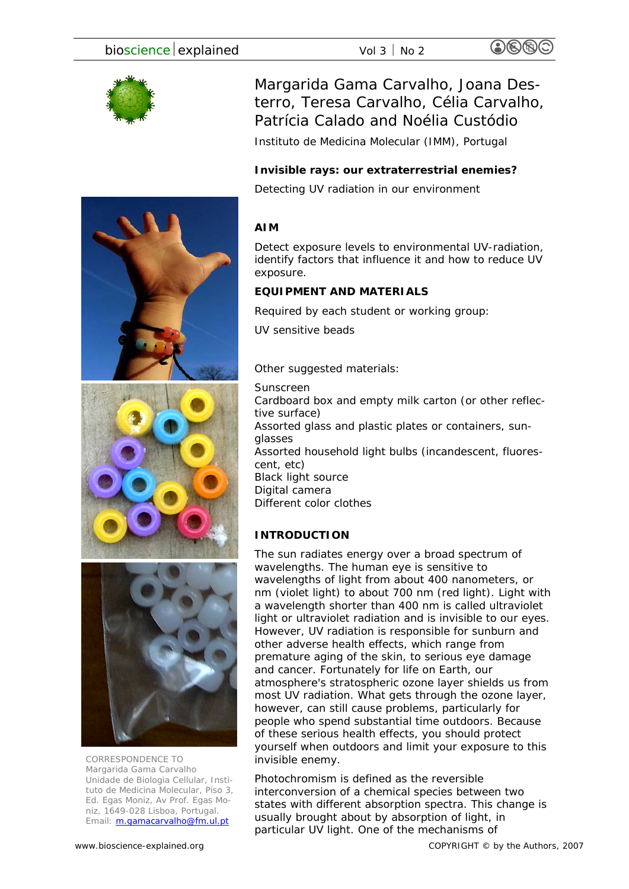Margarida Gama Carvalho, Joana Desterro, Teresa Carvalho, Célia Carvalho, Patrícia Calado and Noélia Custódio

Instituto de Medicina Molecular (IMM), Portugal

# **Invisible rays: our extraterrestrial enemies?**

Detecting UV radiation in our environment

# **AIM**

Detect exposure levels to environmental UV-radiation, identify factors that influence it and how to reduce UV exposure.

# **EQUIPMENT AND MATERIALS**

*Required by each student or working group:* 

UV sensitive beads

## *Other suggested materials:*

Sunscreen

Cardboard box and empty milk carton (or other reflective surface) Assorted glass and plastic plates or containers, sunglasses Assorted household light bulbs (incandescent, fluorescent, etc) Black light source Digital camera Different color clothes

# **INTRODUCTION**

The sun radiates energy over a broad spectrum of wavelengths. The human eye is sensitive to wavelengths of light from about 400 nanometers, or nm (violet light) to about 700 nm (red light). Light with a wavelength shorter than 400 nm is called ultraviolet light or ultraviolet radiation and is invisible to our eyes. However, UV radiation is responsible for sunburn and other adverse health effects, which range from premature aging of the skin, to serious eye damage and cancer. Fortunately for life on Earth, our atmosphere's stratospheric ozone layer shields us from most UV radiation. What gets through the ozone layer, however, can still cause problems, particularly for people who spend substantial time outdoors. Because of these serious health effects, you should protect yourself when outdoors and limit your exposure to this invisible enemy.

Photochromism is defined as the reversible interconversion of a chemical species between two states with different absorption spectra. This change is usually brought about by absorption of light, in particular UV light. One of the mechanisms of



*CORRESPONDENCE TO Margarida Gama Carvalho Unidade de Biologia Cellular, Instituto de Medicina Molecular, Piso 3, Ed. Egas Moniz, Av Prof. Egas Moniz, 1649-028 Lisboa, Portugal. Email: m.gamacarvalho@fm.ul.pt*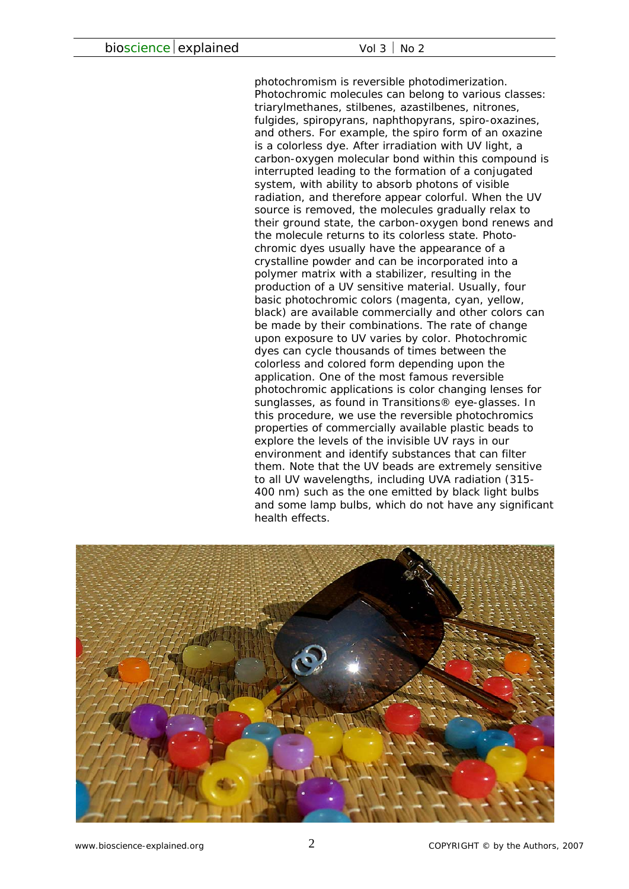photochromism is reversible photodimerization. Photochromic molecules can belong to various classes: triarylmethanes, stilbenes, azastilbenes, nitrones, fulgides, spiropyrans, naphthopyrans, spiro-oxazines, and others. For example, the spiro form of an oxazine is a colorless dye. After irradiation with UV light, a carbon-oxygen molecular bond within this compound is interrupted leading to the formation of a conjugated system, with ability to absorb photons of visible radiation, and therefore appear colorful. When the UV source is removed, the molecules gradually relax to their ground state, the carbon-oxygen bond renews and the molecule returns to its colorless state. Photochromic dyes usually have the appearance of a crystalline powder and can be incorporated into a polymer matrix with a stabilizer, resulting in the production of a UV sensitive material. Usually, four basic photochromic colors (magenta, cyan, yellow, black) are available commercially and other colors can be made by their combinations. The rate of change upon exposure to UV varies by color. Photochromic dyes can cycle thousands of times between the colorless and colored form depending upon the application. One of the most famous reversible photochromic applications is color changing lenses for sunglasses, as found in Transitions® eye-glasses. In this procedure, we use the reversible photochromics properties of commercially available plastic beads to explore the levels of the invisible UV rays in our environment and identify substances that can filter them. Note that the UV beads are extremely sensitive to all UV wavelengths, including UVA radiation (315- 400 nm) such as the one emitted by black light bulbs and some lamp bulbs, which do not have any significant health effects.

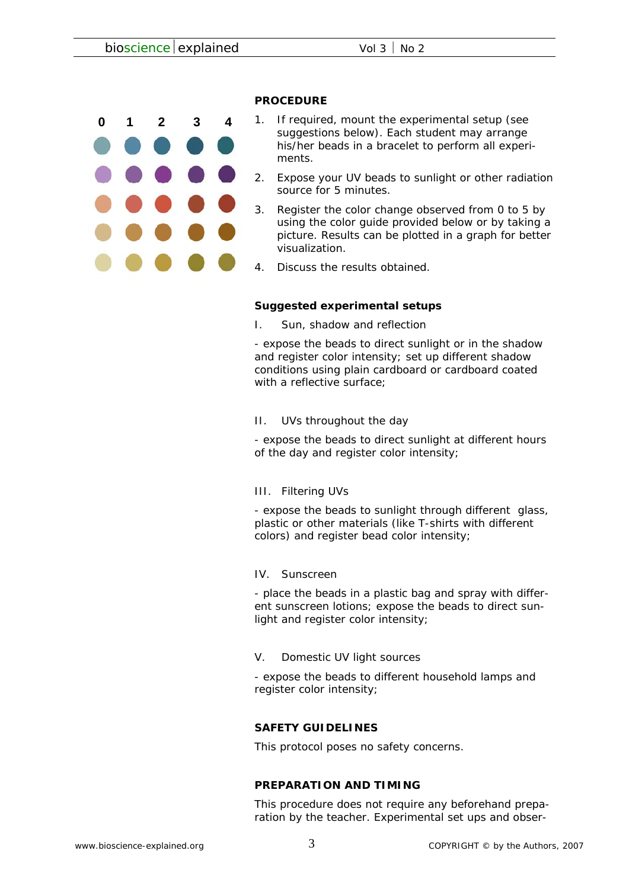

### **PROCEDURE**

- 1. If required, mount the experimental setup (see suggestions below). Each student may arrange his/her beads in a bracelet to perform all experiments.
- 2. Expose your UV beads to sunlight or other radiation source for 5 minutes.
- 3. Register the color change observed from 0 to 5 by using the color guide provided below or by taking a picture. Results can be plotted in a graph for better visualization.
- 4. Discuss the results obtained.

## **Suggested experimental setups**

I. Sun, shadow and reflection

- expose the beads to direct sunlight or in the shadow and register color intensity; set up different shadow conditions using plain cardboard or cardboard coated with a reflective surface:

II. UVs throughout the day

- expose the beads to direct sunlight at different hours of the day and register color intensity;

III. Filtering UVs

- expose the beads to sunlight through different glass, plastic or other materials (like T-shirts with different colors) and register bead color intensity;

IV. Sunscreen

- place the beads in a plastic bag and spray with different sunscreen lotions; expose the beads to direct sunlight and register color intensity;

V. Domestic UV light sources

- expose the beads to different household lamps and register color intensity;

## **SAFETY GUIDELINES**

This protocol poses no safety concerns.

#### **PREPARATION AND TIMING**

This procedure does not require any beforehand preparation by the teacher. Experimental set ups and obser